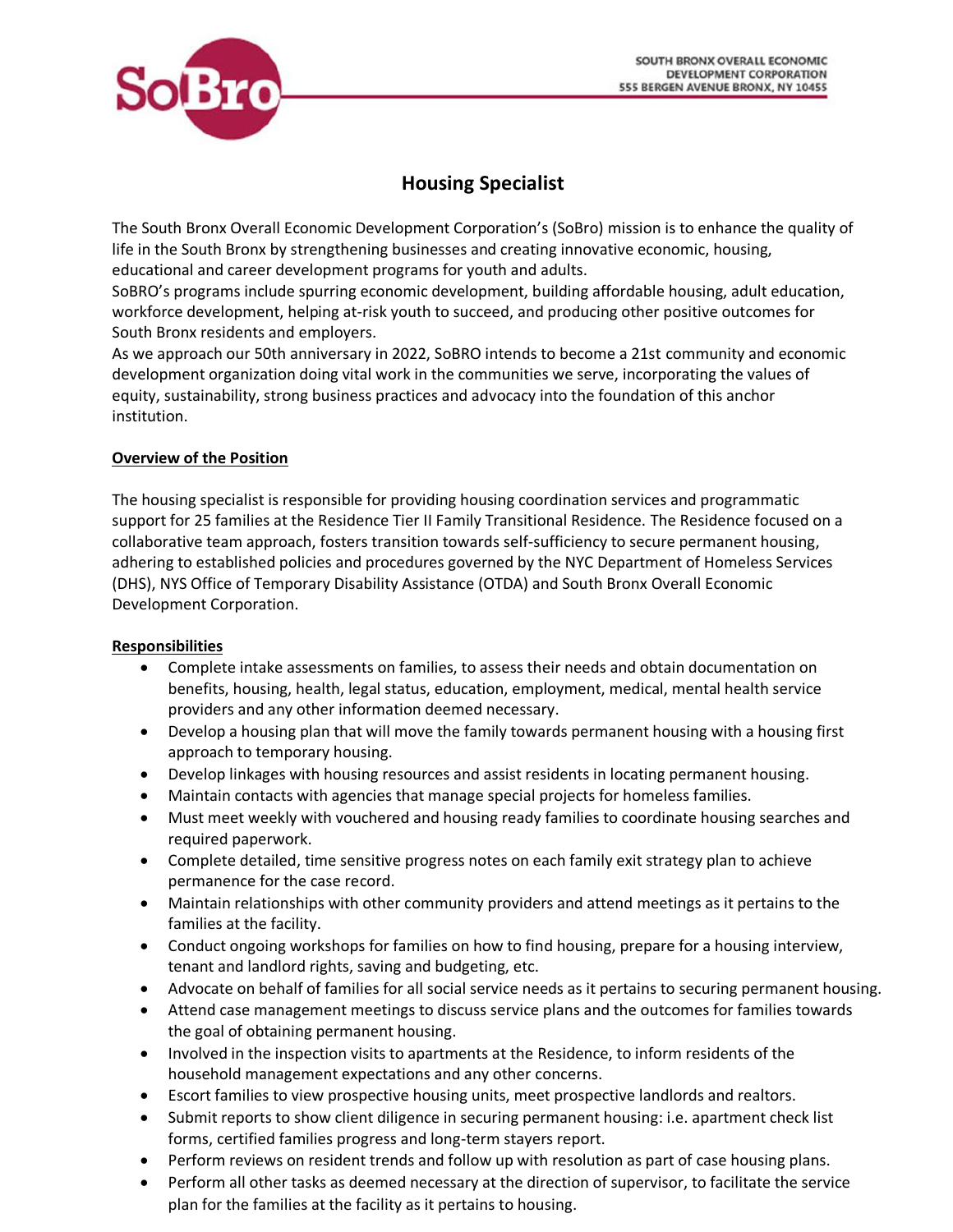

# **Housing Specialist**

The South Bronx Overall Economic Development Corporation's (SoBro) mission is to enhance the quality of life in the South Bronx by strengthening businesses and creating innovative economic, housing, educational and career development programs for youth and adults.

SoBRO's programs include spurring economic development, building affordable housing, adult education, workforce development, helping at-risk youth to succeed, and producing other positive outcomes for South Bronx residents and employers.

As we approach our 50th anniversary in 2022, SoBRO intends to become a 21st community and economic development organization doing vital work in the communities we serve, incorporating the values of equity, sustainability, strong business practices and advocacy into the foundation of this anchor institution.

## **Overview of the Position**

The housing specialist is responsible for providing housing coordination services and programmatic support for 25 families at the Residence Tier II Family Transitional Residence. The Residence focused on a collaborative team approach, fosters transition towards self-sufficiency to secure permanent housing, adhering to established policies and procedures governed by the NYC Department of Homeless Services (DHS), NYS Office of Temporary Disability Assistance (OTDA) and South Bronx Overall Economic Development Corporation.

## **Responsibilities**

- Complete intake assessments on families, to assess their needs and obtain documentation on benefits, housing, health, legal status, education, employment, medical, mental health service providers and any other information deemed necessary.
- Develop a housing plan that will move the family towards permanent housing with a housing first approach to temporary housing.
- Develop linkages with housing resources and assist residents in locating permanent housing.
- Maintain contacts with agencies that manage special projects for homeless families.
- Must meet weekly with vouchered and housing ready families to coordinate housing searches and required paperwork.
- Complete detailed, time sensitive progress notes on each family exit strategy plan to achieve permanence for the case record.
- Maintain relationships with other community providers and attend meetings as it pertains to the families at the facility.
- Conduct ongoing workshops for families on how to find housing, prepare for a housing interview, tenant and landlord rights, saving and budgeting, etc.
- Advocate on behalf of families for all social service needs as it pertains to securing permanent housing.
- Attend case management meetings to discuss service plans and the outcomes for families towards the goal of obtaining permanent housing.
- Involved in the inspection visits to apartments at the Residence, to inform residents of the household management expectations and any other concerns.
- Escort families to view prospective housing units, meet prospective landlords and realtors.
- Submit reports to show client diligence in securing permanent housing: i.e. apartment check list forms, certified families progress and long-term stayers report.
- Perform reviews on resident trends and follow up with resolution as part of case housing plans.
- Perform all other tasks as deemed necessary at the direction of supervisor, to facilitate the service plan for the families at the facility as it pertains to housing.